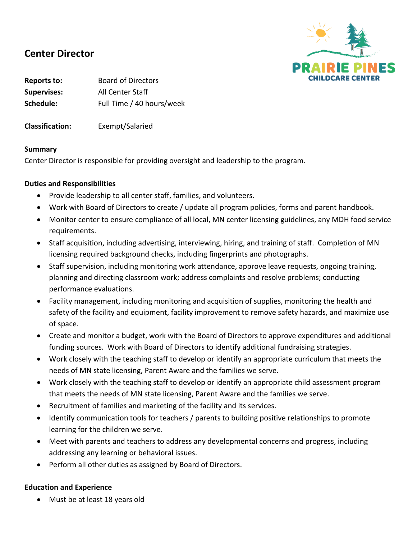

# **Center Director**

**Reports to:** Board of Directors **Supervises:** All Center Staff **Schedule:** Full Time / 40 hours/week

**Classification:** Exempt/Salaried

#### **Summary**

Center Director is responsible for providing oversight and leadership to the program.

# **Duties and Responsibilities**

- Provide leadership to all center staff, families, and volunteers.
- Work with Board of Directors to create / update all program policies, forms and parent handbook.
- Monitor center to ensure compliance of all local, MN center licensing guidelines, any MDH food service requirements.
- Staff acquisition, including advertising, interviewing, hiring, and training of staff. Completion of MN licensing required background checks, including fingerprints and photographs.
- Staff supervision, including monitoring work attendance, approve leave requests, ongoing training, planning and directing classroom work; address complaints and resolve problems; conducting performance evaluations.
- Facility management, including monitoring and acquisition of supplies, monitoring the health and safety of the facility and equipment, facility improvement to remove safety hazards, and maximize use of space.
- Create and monitor a budget, work with the Board of Directors to approve expenditures and additional funding sources. Work with Board of Directors to identify additional fundraising strategies.
- Work closely with the teaching staff to develop or identify an appropriate curriculum that meets the needs of MN state licensing, Parent Aware and the families we serve.
- Work closely with the teaching staff to develop or identify an appropriate child assessment program that meets the needs of MN state licensing, Parent Aware and the families we serve.
- Recruitment of families and marketing of the facility and its services.
- Identify communication tools for teachers / parents to building positive relationships to promote learning for the children we serve.
- Meet with parents and teachers to address any developmental concerns and progress, including addressing any learning or behavioral issues.
- Perform all other duties as assigned by Board of Directors.

#### **Education and Experience**

• Must be at least 18 years old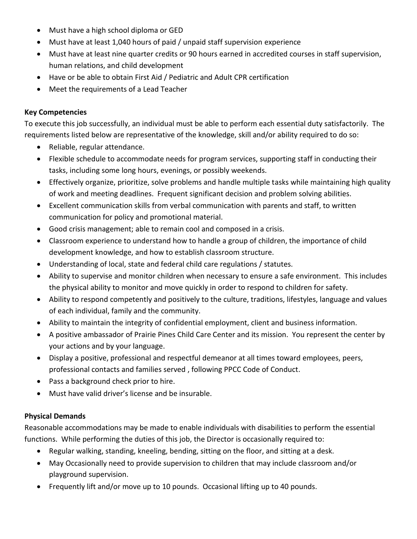- Must have a high school diploma or GED
- Must have at least 1,040 hours of paid / unpaid staff supervision experience
- Must have at least nine quarter credits or 90 hours earned in accredited courses in staff supervision, human relations, and child development
- Have or be able to obtain First Aid / Pediatric and Adult CPR certification
- Meet the requirements of a Lead Teacher

# **Key Competencies**

To execute this job successfully, an individual must be able to perform each essential duty satisfactorily. The requirements listed below are representative of the knowledge, skill and/or ability required to do so:

- Reliable, regular attendance.
- Flexible schedule to accommodate needs for program services, supporting staff in conducting their tasks, including some long hours, evenings, or possibly weekends.
- Effectively organize, prioritize, solve problems and handle multiple tasks while maintaining high quality of work and meeting deadlines. Frequent significant decision and problem solving abilities.
- Excellent communication skills from verbal communication with parents and staff, to written communication for policy and promotional material.
- Good crisis management; able to remain cool and composed in a crisis.
- Classroom experience to understand how to handle a group of children, the importance of child development knowledge, and how to establish classroom structure.
- Understanding of local, state and federal child care regulations / statutes.
- Ability to supervise and monitor children when necessary to ensure a safe environment. This includes the physical ability to monitor and move quickly in order to respond to children for safety.
- Ability to respond competently and positively to the culture, traditions, lifestyles, language and values of each individual, family and the community.
- Ability to maintain the integrity of confidential employment, client and business information.
- A positive ambassador of Prairie Pines Child Care Center and its mission. You represent the center by your actions and by your language.
- Display a positive, professional and respectful demeanor at all times toward employees, peers, professional contacts and families served , following PPCC Code of Conduct.
- Pass a background check prior to hire.
- Must have valid driver's license and be insurable.

# **Physical Demands**

Reasonable accommodations may be made to enable individuals with disabilities to perform the essential functions. While performing the duties of this job, the Director is occasionally required to:

- Regular walking, standing, kneeling, bending, sitting on the floor, and sitting at a desk.
- May Occasionally need to provide supervision to children that may include classroom and/or playground supervision.
- Frequently lift and/or move up to 10 pounds. Occasional lifting up to 40 pounds.